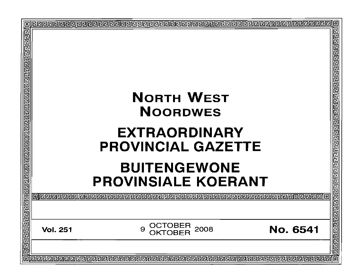| 回 | 回 |
|---|---|
|   |   |
|   |   |
|   |   |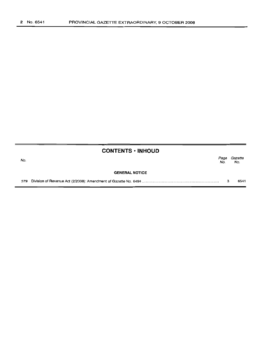|     | <b>CONTENTS · INHOUD</b> |             |                |
|-----|--------------------------|-------------|----------------|
| No. |                          | Page<br>No. | Gazette<br>No. |
|     | <b>GENERAL NOTICE</b>    |             |                |
| 579 |                          |             | 6541           |